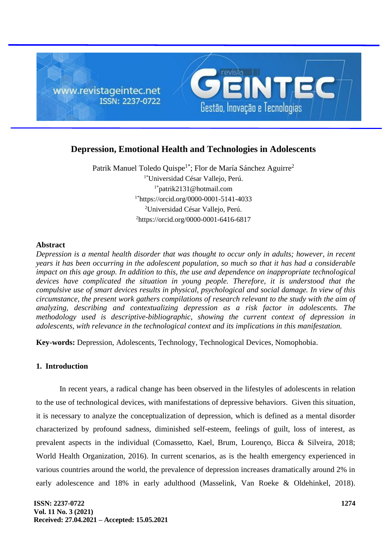

# **Depression, Emotional Health and Technologies in Adolescents**

Patrik Manuel Toledo Quispe<sup>1\*</sup>; Flor de María Sánchez Aguirre<sup>2</sup> 1\*Universidad César Vallejo, Perú. 1\*patrik2131@hotmail.com 1\*https://orcid.org/0000-0001-5141-4033 <sup>2</sup>Universidad César Vallejo, Perú. <sup>2</sup>https://orcid.org/0000-0001-6416-6817

# **Abstract**

*Depression is a mental health disorder that was thought to occur only in adults; however, in recent years it has been occurring in the adolescent population, so much so that it has had a considerable impact on this age group. In addition to this, the use and dependence on inappropriate technological devices have complicated the situation in young people. Therefore, it is understood that the compulsive use of smart devices results in physical, psychological and social damage. In view of this circumstance, the present work gathers compilations of research relevant to the study with the aim of analyzing, describing and contextualizing depression as a risk factor in adolescents. The methodology used is descriptive-bibliographic, showing the current context of depression in adolescents, with relevance in the technological context and its implications in this manifestation.*

**Key-words:** Depression, Adolescents, Technology, Technological Devices, Nomophobia.

# **1. Introduction**

In recent years, a radical change has been observed in the lifestyles of adolescents in relation to the use of technological devices, with manifestations of depressive behaviors. Given this situation, it is necessary to analyze the conceptualization of depression, which is defined as a mental disorder characterized by profound sadness, diminished self-esteem, feelings of guilt, loss of interest, as prevalent aspects in the individual (Comassetto, Kael, Brum, Lourenço, Bicca & Silveira, 2018; World Health Organization, 2016). In current scenarios, as is the health emergency experienced in various countries around the world, the prevalence of depression increases dramatically around 2% in early adolescence and 18% in early adulthood (Masselink, Van Roeke & Oldehinkel, 2018).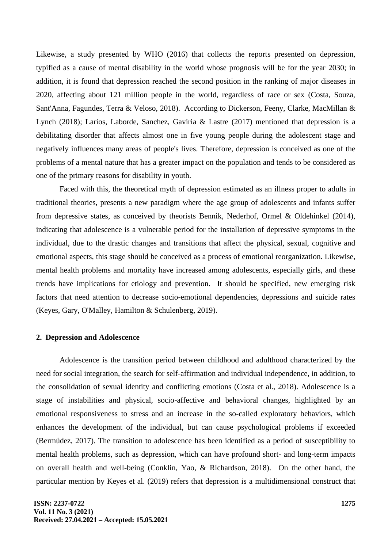Likewise, a study presented by WHO (2016) that collects the reports presented on depression, typified as a cause of mental disability in the world whose prognosis will be for the year 2030; in addition, it is found that depression reached the second position in the ranking of major diseases in 2020, affecting about 121 million people in the world, regardless of race or sex (Costa, Souza, Sant'Anna, Fagundes, Terra & Veloso, 2018). According to Dickerson, Feeny, Clarke, MacMillan & Lynch (2018); Larios, Laborde, Sanchez, Gaviria & Lastre (2017) mentioned that depression is a debilitating disorder that affects almost one in five young people during the adolescent stage and negatively influences many areas of people's lives. Therefore, depression is conceived as one of the problems of a mental nature that has a greater impact on the population and tends to be considered as one of the primary reasons for disability in youth.

Faced with this, the theoretical myth of depression estimated as an illness proper to adults in traditional theories, presents a new paradigm where the age group of adolescents and infants suffer from depressive states, as conceived by theorists Bennik, Nederhof, Ormel & Oldehinkel (2014), indicating that adolescence is a vulnerable period for the installation of depressive symptoms in the individual, due to the drastic changes and transitions that affect the physical, sexual, cognitive and emotional aspects, this stage should be conceived as a process of emotional reorganization. Likewise, mental health problems and mortality have increased among adolescents, especially girls, and these trends have implications for etiology and prevention. It should be specified, new emerging risk factors that need attention to decrease socio-emotional dependencies, depressions and suicide rates (Keyes, Gary, O'Malley, Hamilton & Schulenberg, 2019).

## **2. Depression and Adolescence**

Adolescence is the transition period between childhood and adulthood characterized by the need for social integration, the search for self-affirmation and individual independence, in addition, to the consolidation of sexual identity and conflicting emotions (Costa et al., 2018). Adolescence is a stage of instabilities and physical, socio-affective and behavioral changes, highlighted by an emotional responsiveness to stress and an increase in the so-called exploratory behaviors, which enhances the development of the individual, but can cause psychological problems if exceeded (Bermúdez, 2017). The transition to adolescence has been identified as a period of susceptibility to mental health problems, such as depression, which can have profound short- and long-term impacts on overall health and well-being (Conklin, Yao, & Richardson, 2018). On the other hand, the particular mention by Keyes et al. (2019) refers that depression is a multidimensional construct that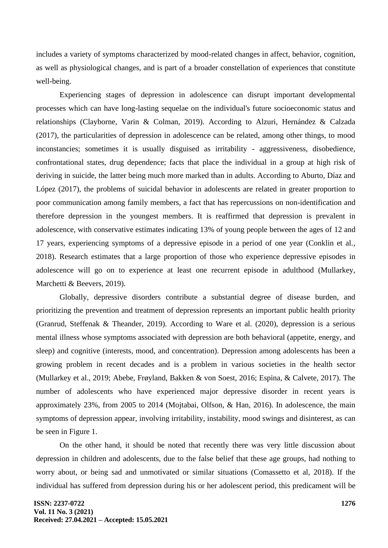includes a variety of symptoms characterized by mood-related changes in affect, behavior, cognition, as well as physiological changes, and is part of a broader constellation of experiences that constitute well-being.

Experiencing stages of depression in adolescence can disrupt important developmental processes which can have long-lasting sequelae on the individual's future socioeconomic status and relationships (Clayborne, Varin & Colman, 2019). According to Alzuri, Hernández & Calzada (2017), the particularities of depression in adolescence can be related, among other things, to mood inconstancies; sometimes it is usually disguised as irritability - aggressiveness, disobedience, confrontational states, drug dependence; facts that place the individual in a group at high risk of deriving in suicide, the latter being much more marked than in adults. According to Aburto, Díaz and López (2017), the problems of suicidal behavior in adolescents are related in greater proportion to poor communication among family members, a fact that has repercussions on non-identification and therefore depression in the youngest members. It is reaffirmed that depression is prevalent in adolescence, with conservative estimates indicating 13% of young people between the ages of 12 and 17 years, experiencing symptoms of a depressive episode in a period of one year (Conklin et al., 2018). Research estimates that a large proportion of those who experience depressive episodes in adolescence will go on to experience at least one recurrent episode in adulthood (Mullarkey, Marchetti & Beevers, 2019).

Globally, depressive disorders contribute a substantial degree of disease burden, and prioritizing the prevention and treatment of depression represents an important public health priority (Granrud, Steffenak & Theander, 2019). According to Ware et al. (2020), depression is a serious mental illness whose symptoms associated with depression are both behavioral (appetite, energy, and sleep) and cognitive (interests, mood, and concentration). Depression among adolescents has been a growing problem in recent decades and is a problem in various societies in the health sector (Mullarkey et al., 2019; Abebe, Frøyland, Bakken & von Soest, 2016; Espina, & Calvete, 2017). The number of adolescents who have experienced major depressive disorder in recent years is approximately 23%, from 2005 to 2014 (Mojtabai, Olfson, & Han, 2016). In adolescence, the main symptoms of depression appear, involving irritability, instability, mood swings and disinterest, as can be seen in Figure 1.

On the other hand, it should be noted that recently there was very little discussion about depression in children and adolescents, due to the false belief that these age groups, had nothing to worry about, or being sad and unmotivated or similar situations (Comassetto et al, 2018). If the individual has suffered from depression during his or her adolescent period, this predicament will be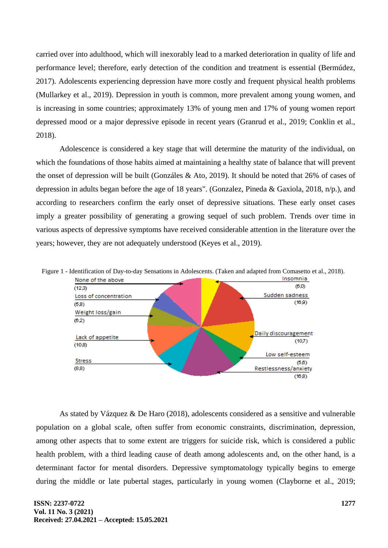carried over into adulthood, which will inexorably lead to a marked deterioration in quality of life and performance level; therefore, early detection of the condition and treatment is essential (Bermúdez, 2017). Adolescents experiencing depression have more costly and frequent physical health problems (Mullarkey et al., 2019). Depression in youth is common, more prevalent among young women, and is increasing in some countries; approximately 13% of young men and 17% of young women report depressed mood or a major depressive episode in recent years (Granrud et al., 2019; Conklin et al., 2018).

Adolescence is considered a key stage that will determine the maturity of the individual, on which the foundations of those habits aimed at maintaining a healthy state of balance that will prevent the onset of depression will be built (Gonzáles & Ato, 2019). It should be noted that 26% of cases of depression in adults began before the age of 18 years". (Gonzalez, Pineda & Gaxiola, 2018, n/p.), and according to researchers confirm the early onset of depressive situations. These early onset cases imply a greater possibility of generating a growing sequel of such problem. Trends over time in various aspects of depressive symptoms have received considerable attention in the literature over the years; however, they are not adequately understood (Keyes et al., 2019).





As stated by Vázquez & De Haro (2018), adolescents considered as a sensitive and vulnerable population on a global scale, often suffer from economic constraints, discrimination, depression, among other aspects that to some extent are triggers for suicide risk, which is considered a public health problem, with a third leading cause of death among adolescents and, on the other hand, is a determinant factor for mental disorders. Depressive symptomatology typically begins to emerge during the middle or late pubertal stages, particularly in young women (Clayborne et al., 2019;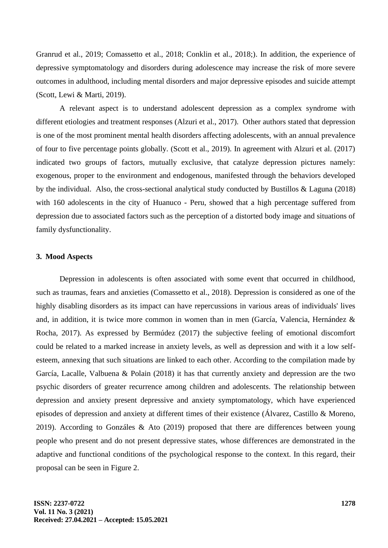Granrud et al., 2019; Comassetto et al., 2018; Conklin et al., 2018;). In addition, the experience of depressive symptomatology and disorders during adolescence may increase the risk of more severe outcomes in adulthood, including mental disorders and major depressive episodes and suicide attempt (Scott, Lewi & Marti, 2019).

A relevant aspect is to understand adolescent depression as a complex syndrome with different etiologies and treatment responses (Alzuri et al., 2017). Other authors stated that depression is one of the most prominent mental health disorders affecting adolescents, with an annual prevalence of four to five percentage points globally. (Scott et al., 2019). In agreement with Alzuri et al. (2017) indicated two groups of factors, mutually exclusive, that catalyze depression pictures namely: exogenous, proper to the environment and endogenous, manifested through the behaviors developed by the individual. Also, the cross-sectional analytical study conducted by Bustillos & Laguna (2018) with 160 adolescents in the city of Huanuco - Peru, showed that a high percentage suffered from depression due to associated factors such as the perception of a distorted body image and situations of family dysfunctionality.

## **3. Mood Aspects**

Depression in adolescents is often associated with some event that occurred in childhood, such as traumas, fears and anxieties (Comassetto et al., 2018). Depression is considered as one of the highly disabling disorders as its impact can have repercussions in various areas of individuals' lives and, in addition, it is twice more common in women than in men (García, Valencia, Hernández & Rocha, 2017). As expressed by Bermúdez (2017) the subjective feeling of emotional discomfort could be related to a marked increase in anxiety levels, as well as depression and with it a low selfesteem, annexing that such situations are linked to each other. According to the compilation made by García, Lacalle, Valbuena & Polain (2018) it has that currently anxiety and depression are the two psychic disorders of greater recurrence among children and adolescents. The relationship between depression and anxiety present depressive and anxiety symptomatology, which have experienced episodes of depression and anxiety at different times of their existence (Álvarez, Castillo & Moreno, 2019). According to Gonzáles & Ato (2019) proposed that there are differences between young people who present and do not present depressive states, whose differences are demonstrated in the adaptive and functional conditions of the psychological response to the context. In this regard, their proposal can be seen in Figure 2.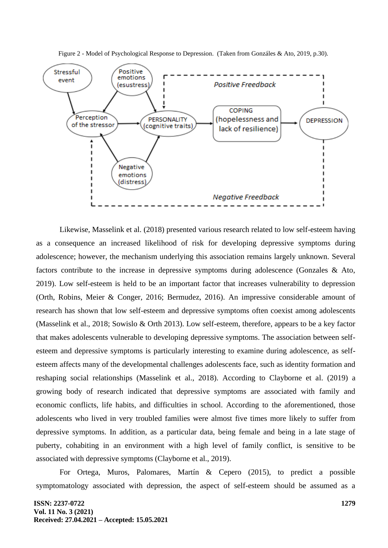



Likewise, Masselink et al. (2018) presented various research related to low self-esteem having as a consequence an increased likelihood of risk for developing depressive symptoms during adolescence; however, the mechanism underlying this association remains largely unknown. Several factors contribute to the increase in depressive symptoms during adolescence (Gonzales & Ato, 2019). Low self-esteem is held to be an important factor that increases vulnerability to depression (Orth, Robins, Meier & Conger, 2016; Bermudez, 2016). An impressive considerable amount of research has shown that low self-esteem and depressive symptoms often coexist among adolescents (Masselink et al., 2018; Sowislo & Orth 2013). Low self-esteem, therefore, appears to be a key factor that makes adolescents vulnerable to developing depressive symptoms. The association between selfesteem and depressive symptoms is particularly interesting to examine during adolescence, as selfesteem affects many of the developmental challenges adolescents face, such as identity formation and reshaping social relationships (Masselink et al., 2018). According to Clayborne et al. (2019) a growing body of research indicated that depressive symptoms are associated with family and economic conflicts, life habits, and difficulties in school. According to the aforementioned, those adolescents who lived in very troubled families were almost five times more likely to suffer from depressive symptoms. In addition, as a particular data, being female and being in a late stage of puberty, cohabiting in an environment with a high level of family conflict, is sensitive to be associated with depressive symptoms (Clayborne et al., 2019).

For Ortega, Muros, Palomares, Martín & Cepero (2015), to predict a possible symptomatology associated with depression, the aspect of self-esteem should be assumed as a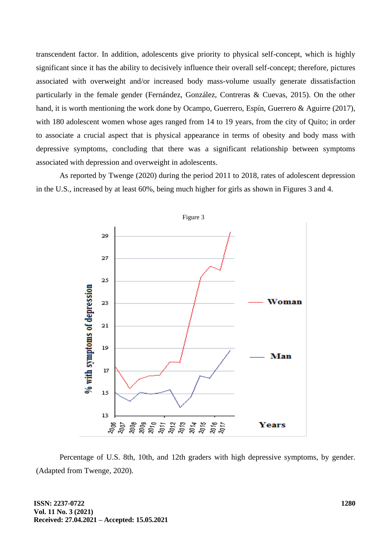transcendent factor. In addition, adolescents give priority to physical self-concept, which is highly significant since it has the ability to decisively influence their overall self-concept; therefore, pictures associated with overweight and/or increased body mass-volume usually generate dissatisfaction particularly in the female gender (Fernández, González, Contreras & Cuevas, 2015). On the other hand, it is worth mentioning the work done by Ocampo, Guerrero, Espín, Guerrero & Aguirre (2017), with 180 adolescent women whose ages ranged from 14 to 19 years, from the city of Quito; in order to associate a crucial aspect that is physical appearance in terms of obesity and body mass with depressive symptoms, concluding that there was a significant relationship between symptoms associated with depression and overweight in adolescents.

As reported by Twenge (2020) during the period 2011 to 2018, rates of adolescent depression in the U.S., increased by at least 60%, being much higher for girls as shown in Figures 3 and 4.



Percentage of U.S. 8th, 10th, and 12th graders with high depressive symptoms, by gender. (Adapted from Twenge, 2020).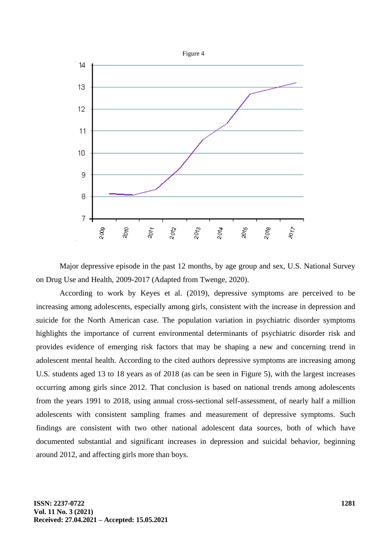

Major depressive episode in the past 12 months, by age group and sex, U.S. National Survey on Drug Use and Health, 2009-2017 (Adapted from Twenge, 2020).

According to work by Keyes et al. (2019), depressive symptoms are perceived to be increasing among adolescents, especially among girls, consistent with the increase in depression and suicide for the North American case. The population variation in psychiatric disorder symptoms highlights the importance of current environmental determinants of psychiatric disorder risk and provides evidence of emerging risk factors that may be shaping a new and concerning trend in adolescent mental health. According to the cited authors depressive symptoms are increasing among U.S. students aged 13 to 18 years as of 2018 (as can be seen in Figure 5), with the largest increases occurring among girls since 2012. That conclusion is based on national trends among adolescents from the years 1991 to 2018, using annual cross-sectional self-assessment, of nearly half a million adolescents with consistent sampling frames and measurement of depressive symptoms. Such findings are consistent with two other national adolescent data sources, both of which have documented substantial and significant increases in depression and suicidal behavior, beginning around 2012, and affecting girls more than boys.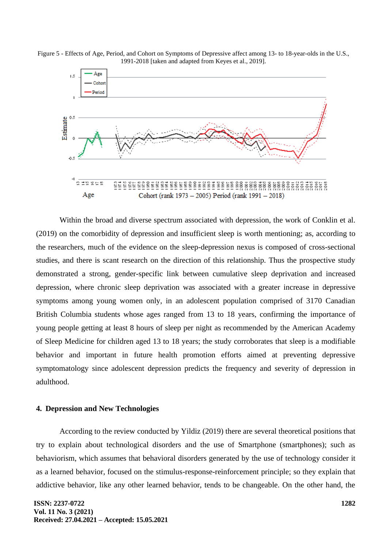

Figure 5 - Effects of Age, Period, and Cohort on Symptoms of Depressive affect among 13- to 18-year-olds in the U.S., 1991-2018 [taken and adapted from Keyes et al., 2019].

Within the broad and diverse spectrum associated with depression, the work of Conklin et al. (2019) on the comorbidity of depression and insufficient sleep is worth mentioning; as, according to the researchers, much of the evidence on the sleep-depression nexus is composed of cross-sectional studies, and there is scant research on the direction of this relationship. Thus the prospective study demonstrated a strong, gender-specific link between cumulative sleep deprivation and increased depression, where chronic sleep deprivation was associated with a greater increase in depressive symptoms among young women only, in an adolescent population comprised of 3170 Canadian British Columbia students whose ages ranged from 13 to 18 years, confirming the importance of young people getting at least 8 hours of sleep per night as recommended by the American Academy of Sleep Medicine for children aged 13 to 18 years; the study corroborates that sleep is a modifiable behavior and important in future health promotion efforts aimed at preventing depressive symptomatology since adolescent depression predicts the frequency and severity of depression in adulthood.

#### **4. Depression and New Technologies**

According to the review conducted by Yildiz (2019) there are several theoretical positions that try to explain about technological disorders and the use of Smartphone (smartphones); such as behaviorism, which assumes that behavioral disorders generated by the use of technology consider it as a learned behavior, focused on the stimulus-response-reinforcement principle; so they explain that addictive behavior, like any other learned behavior, tends to be changeable. On the other hand, the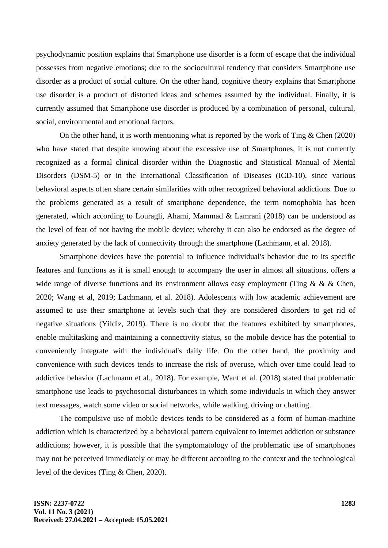psychodynamic position explains that Smartphone use disorder is a form of escape that the individual possesses from negative emotions; due to the sociocultural tendency that considers Smartphone use disorder as a product of social culture. On the other hand, cognitive theory explains that Smartphone use disorder is a product of distorted ideas and schemes assumed by the individual. Finally, it is currently assumed that Smartphone use disorder is produced by a combination of personal, cultural, social, environmental and emotional factors.

On the other hand, it is worth mentioning what is reported by the work of Ting & Chen (2020) who have stated that despite knowing about the excessive use of Smartphones, it is not currently recognized as a formal clinical disorder within the Diagnostic and Statistical Manual of Mental Disorders (DSM-5) or in the International Classification of Diseases (ICD-10), since various behavioral aspects often share certain similarities with other recognized behavioral addictions. Due to the problems generated as a result of smartphone dependence, the term nomophobia has been generated, which according to Louragli, Ahami, Mammad & Lamrani (2018) can be understood as the level of fear of not having the mobile device; whereby it can also be endorsed as the degree of anxiety generated by the lack of connectivity through the smartphone (Lachmann, et al. 2018).

Smartphone devices have the potential to influence individual's behavior due to its specific features and functions as it is small enough to accompany the user in almost all situations, offers a wide range of diverse functions and its environment allows easy employment (Ting & & & Chen, 2020; Wang et al, 2019; Lachmann, et al. 2018). Adolescents with low academic achievement are assumed to use their smartphone at levels such that they are considered disorders to get rid of negative situations (Yildiz, 2019). There is no doubt that the features exhibited by smartphones, enable multitasking and maintaining a connectivity status, so the mobile device has the potential to conveniently integrate with the individual's daily life. On the other hand, the proximity and convenience with such devices tends to increase the risk of overuse, which over time could lead to addictive behavior (Lachmann et al., 2018). For example, Want et al. (2018) stated that problematic smartphone use leads to psychosocial disturbances in which some individuals in which they answer text messages, watch some video or social networks, while walking, driving or chatting.

The compulsive use of mobile devices tends to be considered as a form of human-machine addiction which is characterized by a behavioral pattern equivalent to internet addiction or substance addictions; however, it is possible that the symptomatology of the problematic use of smartphones may not be perceived immediately or may be different according to the context and the technological level of the devices (Ting & Chen, 2020).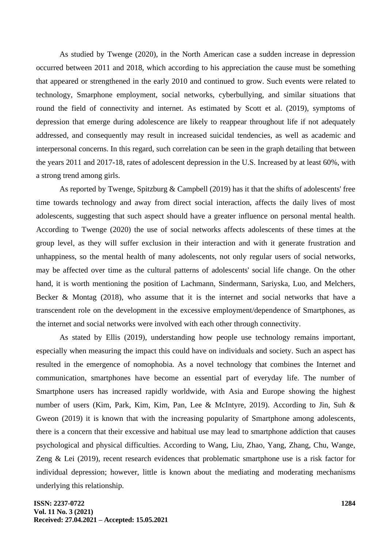As studied by Twenge (2020), in the North American case a sudden increase in depression occurred between 2011 and 2018, which according to his appreciation the cause must be something that appeared or strengthened in the early 2010 and continued to grow. Such events were related to technology, Smarphone employment, social networks, cyberbullying, and similar situations that round the field of connectivity and internet. As estimated by Scott et al. (2019), symptoms of depression that emerge during adolescence are likely to reappear throughout life if not adequately addressed, and consequently may result in increased suicidal tendencies, as well as academic and interpersonal concerns. In this regard, such correlation can be seen in the graph detailing that between the years 2011 and 2017-18, rates of adolescent depression in the U.S. Increased by at least 60%, with a strong trend among girls.

As reported by Twenge, Spitzburg & Campbell (2019) has it that the shifts of adolescents' free time towards technology and away from direct social interaction, affects the daily lives of most adolescents, suggesting that such aspect should have a greater influence on personal mental health. According to Twenge (2020) the use of social networks affects adolescents of these times at the group level, as they will suffer exclusion in their interaction and with it generate frustration and unhappiness, so the mental health of many adolescents, not only regular users of social networks, may be affected over time as the cultural patterns of adolescents' social life change. On the other hand, it is worth mentioning the position of Lachmann, Sindermann, Sariyska, Luo, and Melchers, Becker & Montag (2018), who assume that it is the internet and social networks that have a transcendent role on the development in the excessive employment/dependence of Smartphones, as the internet and social networks were involved with each other through connectivity.

As stated by Ellis (2019), understanding how people use technology remains important, especially when measuring the impact this could have on individuals and society. Such an aspect has resulted in the emergence of nomophobia. As a novel technology that combines the Internet and communication, smartphones have become an essential part of everyday life. The number of Smartphone users has increased rapidly worldwide, with Asia and Europe showing the highest number of users (Kim, Park, Kim, Kim, Pan, Lee & McIntyre, 2019). According to Jin, Suh & Gweon (2019) it is known that with the increasing popularity of Smartphone among adolescents, there is a concern that their excessive and habitual use may lead to smartphone addiction that causes psychological and physical difficulties. According to Wang, Liu, Zhao, Yang, Zhang, Chu, Wange, Zeng & Lei (2019), recent research evidences that problematic smartphone use is a risk factor for individual depression; however, little is known about the mediating and moderating mechanisms underlying this relationship.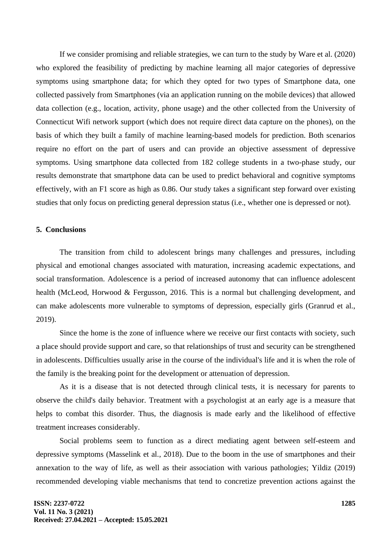If we consider promising and reliable strategies, we can turn to the study by Ware et al. (2020) who explored the feasibility of predicting by machine learning all major categories of depressive symptoms using smartphone data; for which they opted for two types of Smartphone data, one collected passively from Smartphones (via an application running on the mobile devices) that allowed data collection (e.g., location, activity, phone usage) and the other collected from the University of Connecticut Wifi network support (which does not require direct data capture on the phones), on the basis of which they built a family of machine learning-based models for prediction. Both scenarios require no effort on the part of users and can provide an objective assessment of depressive symptoms. Using smartphone data collected from 182 college students in a two-phase study, our results demonstrate that smartphone data can be used to predict behavioral and cognitive symptoms effectively, with an F1 score as high as 0.86. Our study takes a significant step forward over existing studies that only focus on predicting general depression status (i.e., whether one is depressed or not).

#### **5. Conclusions**

The transition from child to adolescent brings many challenges and pressures, including physical and emotional changes associated with maturation, increasing academic expectations, and social transformation. Adolescence is a period of increased autonomy that can influence adolescent health (McLeod, Horwood & Fergusson, 2016. This is a normal but challenging development, and can make adolescents more vulnerable to symptoms of depression, especially girls (Granrud et al., 2019).

Since the home is the zone of influence where we receive our first contacts with society, such a place should provide support and care, so that relationships of trust and security can be strengthened in adolescents. Difficulties usually arise in the course of the individual's life and it is when the role of the family is the breaking point for the development or attenuation of depression.

As it is a disease that is not detected through clinical tests, it is necessary for parents to observe the child's daily behavior. Treatment with a psychologist at an early age is a measure that helps to combat this disorder. Thus, the diagnosis is made early and the likelihood of effective treatment increases considerably.

Social problems seem to function as a direct mediating agent between self-esteem and depressive symptoms (Masselink et al., 2018). Due to the boom in the use of smartphones and their annexation to the way of life, as well as their association with various pathologies; Yildiz (2019) recommended developing viable mechanisms that tend to concretize prevention actions against the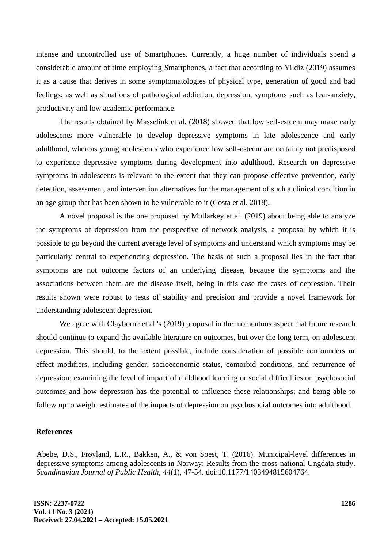intense and uncontrolled use of Smartphones. Currently, a huge number of individuals spend a considerable amount of time employing Smartphones, a fact that according to Yildiz (2019) assumes it as a cause that derives in some symptomatologies of physical type, generation of good and bad feelings; as well as situations of pathological addiction, depression, symptoms such as fear-anxiety, productivity and low academic performance.

The results obtained by Masselink et al. (2018) showed that low self-esteem may make early adolescents more vulnerable to develop depressive symptoms in late adolescence and early adulthood, whereas young adolescents who experience low self-esteem are certainly not predisposed to experience depressive symptoms during development into adulthood. Research on depressive symptoms in adolescents is relevant to the extent that they can propose effective prevention, early detection, assessment, and intervention alternatives for the management of such a clinical condition in an age group that has been shown to be vulnerable to it (Costa et al. 2018).

A novel proposal is the one proposed by Mullarkey et al. (2019) about being able to analyze the symptoms of depression from the perspective of network analysis, a proposal by which it is possible to go beyond the current average level of symptoms and understand which symptoms may be particularly central to experiencing depression. The basis of such a proposal lies in the fact that symptoms are not outcome factors of an underlying disease, because the symptoms and the associations between them are the disease itself, being in this case the cases of depression. Their results shown were robust to tests of stability and precision and provide a novel framework for understanding adolescent depression.

We agree with Clayborne et al.'s (2019) proposal in the momentous aspect that future research should continue to expand the available literature on outcomes, but over the long term, on adolescent depression. This should, to the extent possible, include consideration of possible confounders or effect modifiers, including gender, socioeconomic status, comorbid conditions, and recurrence of depression; examining the level of impact of childhood learning or social difficulties on psychosocial outcomes and how depression has the potential to influence these relationships; and being able to follow up to weight estimates of the impacts of depression on psychosocial outcomes into adulthood.

## **References**

Abebe, D.S., Frøyland, L.R., Bakken, A., & von Soest, T. (2016). Municipal-level differences in depressive symptoms among adolescents in Norway: Results from the cross-national Ungdata study. *Scandinavian Journal of Public Health, 44*(1), 47-54. doi:10.1177/1403494815604764.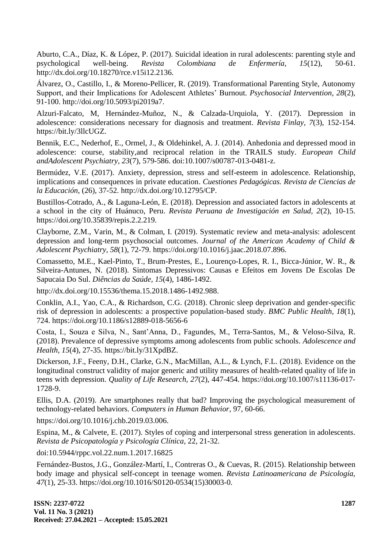Aburto, C.A., Díaz, K. & López, P. (2017). Suicidal ideation in rural adolescents: parenting style and psychological well-being. *Revista Colombiana de Enfermería, 15*(12), 50-61. http://dx.doi.org/10.18270/rce.v15i12.2136.

Álvarez, O., Castillo, I., & Moreno-Pellicer, R. (2019). Transformational Parenting Style, Autonomy Support, and their Implications for Adolescent Athletes' Burnout. *Psychosocial Intervention, 28*(2), 91-100. http://doi.org/10.5093/pi2019a7.

Alzuri-Falcato, M, Hernández-Muñoz, N., & Calzada-Urquiola, Y. (2017). Depression in adolescence: considerations necessary for diagnosis and treatment. *Revista Finlay, 7*(3), 152-154. https://bit.ly/3llcUGZ.

Bennik, E.C., Nederhof, E., Ormel, J., & Oldehinkel, A. J. (2014). Anhedonia and depressed mood in adolescence: course, stability,and reciprocal relation in the TRAILS study. *European Child andAdolescent Psychiatry, 23*(7), 579-586. doi:10.1007/s00787-013-0481-z.

Bermúdez, V.E. (2017). Anxiety, depression, stress and self-esteem in adolescence. Relationship, implications and consequences in private education. *Cuestiones Pedagógicas. Revista de Ciencias de la Educación*, (26), 37-52. http://dx.doi.org/10.12795/CP.

Bustillos-Cotrado, A., & Laguna-León, E. (2018). Depression and associated factors in adolescents at a school in the city of Huánuco, Peru. *Revista Peruana de Investigación en Salud, 2*(2), 10-15. https://doi.org/10.35839/repis.2.2.219.

Clayborne, Z.M., Varin, M., & Colman, I. (2019). Systematic review and meta-analysis: adolescent depression and long-term psychosocial outcomes. *Journal of the American Academy of Child & Adolescent Psychiatry, 58*(1), 72-79. https://doi.org/10.1016/j.jaac.2018.07.896.

Comassetto, M.E., Kael-Pinto, T., Brum-Prestes, E., Lourenço-Lopes, R. I., Bicca-Júnior, W. R., & Silveira-Antunes, N. (2018). Sintomas Depressivos: Causas e Efeitos em Jovens De Escolas De Sapucaia Do Sul. *Diências da Saúde, 15*(4), 1486-1492.

http://dx.doi.org/10.15536/thema.15.2018.1486-1492.988.

Conklin, A.I., Yao, C.A., & Richardson, C.G. (2018). Chronic sleep deprivation and gender-specific risk of depression in adolescents: a prospective population-based study. *BMC Public Health, 18*(1), 724. https://doi.org/10.1186/s12889-018-5656-6

Costa, I., Souza e Silva, N., Sant'Anna, D., Fagundes, M., Terra-Santos, M., & Veloso-Silva, R. (2018). Prevalence of depressive symptoms among adolescents from public schools. *Adolescence and Health, 15*(4), 27-35. https://bit.ly/31XpdBZ.

Dickerson, J.F., Feeny, D.H., Clarke, G.N., MacMillan, A.L., & Lynch, F.L. (2018). Evidence on the longitudinal construct validity of major generic and utility measures of health-related quality of life in teens with depression. *Quality of Life Research, 27*(2), 447-454. https://doi.org/10.1007/s11136-017- 1728-9.

Ellis, D.A. (2019). Are smartphones really that bad? Improving the psychological measurement of technology-related behaviors. *Computers in Human Behavior*, 97, 60-66.

https://doi.org/10.1016/j.chb.2019.03.006.

Espina, M., & Calvete, E. (2017). Styles of coping and interpersonal stress generation in adolescents. *Revista de Psicopatología y Psicología Clínica,* 22, 21-32.

doi:10.5944/rppc.vol.22.num.1.2017.16825

Fernández-Bustos, J.G., González-Martí, I., Contreras O., & Cuevas, R. (2015). Relationship between body image and physical self-concept in teenage women. *Revista Latinoamericana de Psicología, 47*(1), 25-33. https://doi.org/10.1016/S0120-0534(15)30003-0.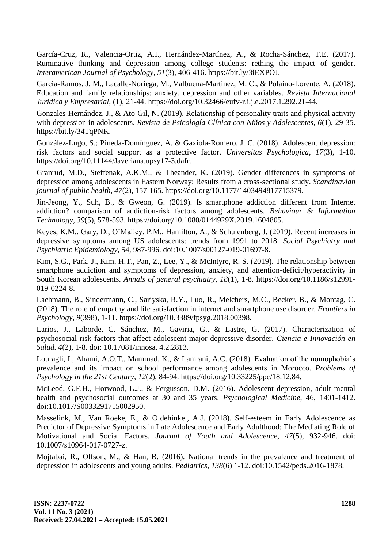García-Cruz, R., Valencia-Ortiz, A.I., Hernández-Martínez, A., & Rocha-Sánchez, T.E. (2017). Ruminative thinking and depression among college students: rething the impact of gender. *Interamerican Journal of Psychology, 51*(3), 406-416. https://bit.ly/3iEXPOJ.

García-Ramos, J. M., Lacalle-Noriega, M., Valbuena-Martínez, M. C., & Polaino-Lorente, A. (2018). Education and family relationships: anxiety, depression and other variables. *Revista Internacional Jurídica y Empresarial*, (1), 21-44. https://doi.org/10.32466/eufv-r.i.j.e.2017.1.292.21-44.

Gonzales-Hernández, J., & Ato-Gil, N. (2019). Relationship of personality traits and physical activity with depression in adolescents. *Revista de Psicología Clínica con Niños y Adolescentes, 6*(1), 29-35. https://bit.ly/34TqPNK.

González-Lugo, S.; Pineda-Domínguez, A. & Gaxiola-Romero, J. C. (2018). Adolescent depression: risk factors and social support as a protective factor. *Universitas Psychologica*, *17*(3), 1-10. https://doi.org/10.11144/Javeriana.upsy17-3.dafr.

Granrud, M.D., Steffenak, A.K.M., & Theander, K. (2019). Gender differences in symptoms of depression among adolescents in Eastern Norway: Results from a cross-sectional study. *Scandinavian journal of public health, 47*(2), 157-165. https://doi.org/10.1177/1403494817715379.

Jin-Jeong, Y., Suh, B., & Gweon, G. (2019). Is smartphone addiction different from Internet addiction? comparison of addiction-risk factors among adolescents. *Behaviour & Information Technology, 39*(5), 578-593. https://doi.org/10.1080/0144929X.2019.1604805.

Keyes, K.M., Gary, D., O'Malley, P.M., Hamilton, A., & Schulenberg, J. (2019). Recent increases in depressive symptoms among US adolescents: trends from 1991 to 2018. *Social Psychiatry and Psychiatric Epidemiology*, 54, 987-996. doi:10.1007/s00127-019-01697-8.

Kim, S.G., Park, J., Kim, H.T., Pan, Z., Lee, Y., & McIntyre, R. S. (2019). The relationship between smartphone addiction and symptoms of depression, anxiety, and attention-deficit/hyperactivity in South Korean adolescents. *Annals of general psychiatry, 18*(1), 1-8. https://doi.org/10.1186/s12991- 019-0224-8.

Lachmann, B., Sindermann, C., Sariyska, R.Y., Luo, R., Melchers, M.C., Becker, B., & Montag, C. (2018). The role of empathy and life satisfaction in internet and smartphone use disorder. *Frontiers in Psychology, 9*(398), 1-11. https://doi.org/10.3389/fpsyg.2018.00398.

Larios, J., Laborde, C. Sánchez, M., Gaviria, G., & Lastre, G. (2017). Characterization of psychosocial risk factors that affect adolescent major depressive disorder. *Ciencia e Innovación en Salud. 4*(2), 1-8. doi: 10.17081/innosa. 4.2.2813.

Louragli, I., Ahami, A.O.T., Mammad, K., & Lamrani, A.C. (2018). Evaluation of the nomophobia's prevalence and its impact on school performance among adolescents in Morocco. *Problems of Psychology in the 21st Century, 12*(2), 84-94. https://doi.org/10.33225/ppc/18.12.84.

McLeod, G.F.H., Horwood, L.J., & Fergusson, D.M. (2016). Adolescent depression, adult mental health and psychosocial outcomes at 30 and 35 years. *Psychological Medicine*, 46, 1401-1412. doi:10.1017/S0033291715002950.

Masselink, M., Van Roeke, E., & Oldehinkel, A.J. (2018). Self-esteem in Early Adolescence as Predictor of Depressive Symptoms in Late Adolescence and Early Adulthood: The Mediating Role of Motivational and Social Factors. *Journal of Youth and Adolescence, 47*(5), 932-946. doi: 10.1007/s10964-017-0727-z.

Mojtabai, R., Olfson, M., & Han, B. (2016). National trends in the prevalence and treatment of depression in adolescents and young adults. *Pediatrics, 138*(6) 1-12. doi:10.1542/peds.2016-1878.